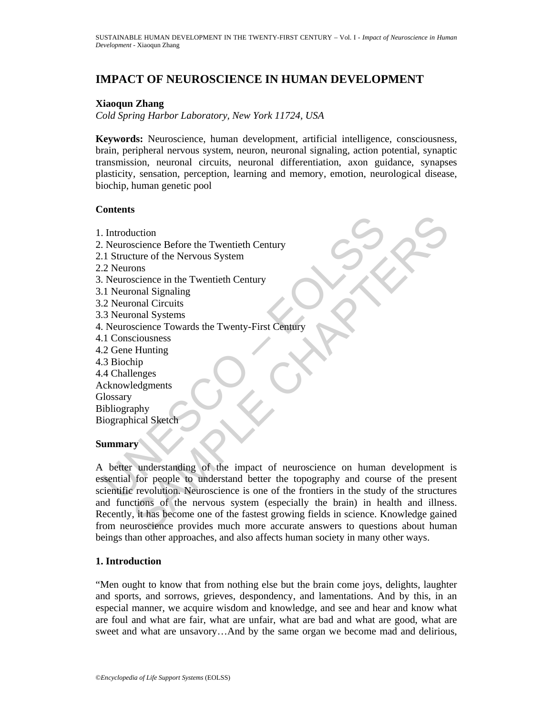# **IMPACT OF NEUROSCIENCE IN HUMAN DEVELOPMENT**

## **Xiaoqun Zhang**

*Cold Spring Harbor Laboratory, New York 11724, USA* 

**Keywords:** Neuroscience, human development, artificial intelligence, consciousness, brain, peripheral nervous system, neuron, neuronal signaling, action potential, synaptic transmission, neuronal circuits, neuronal differentiation, axon guidance, synapses plasticity, sensation, perception, learning and memory, emotion, neurological disease, biochip, human genetic pool

## **Contents**

Exploration<br>
Neuroscience Before the Twentieth Century<br>
1. Structure of the Nervous System<br>
2. Neuroscience in the Twentieth Century<br>
1. Neuroscience in the Twentieth Century<br>
1. Neuroscience Towards the Twenty-First Centu uction<br>
science Before the Twentieth Century<br>
science Before the Twentieth Century<br>
onal Signaling<br>
onal Circuits<br>
onal Signaling<br>
onal Circuits<br>
science Towards the Twenty-First Century<br>
ciousness<br>
science Towards the Twe 1. Introduction 2. Neuroscience Before the Twentieth Century 2.1 Structure of the Nervous System 2.2 Neurons 3. Neuroscience in the Twentieth Century 3.1 Neuronal Signaling 3.2 Neuronal Circuits 3.3 Neuronal Systems 4. Neuroscience Towards the Twenty-First Century 4.1 Consciousness 4.2 Gene Hunting 4.3 Biochip 4.4 Challenges Acknowledgments **Glossary** Bibliography Biographical Sketch **Summary** 

A better understanding of the impact of neuroscience on human development is essential for people to understand better the topography and course of the present scientific revolution. Neuroscience is one of the frontiers in the study of the structures and functions of the nervous system (especially the brain) in health and illness. Recently, it has become one of the fastest growing fields in science. Knowledge gained from neuroscience provides much more accurate answers to questions about human beings than other approaches, and also affects human society in many other ways.

## **1. Introduction**

"Men ought to know that from nothing else but the brain come joys, delights, laughter and sports, and sorrows, grieves, despondency, and lamentations. And by this, in an especial manner, we acquire wisdom and knowledge, and see and hear and know what are foul and what are fair, what are unfair, what are bad and what are good, what are sweet and what are unsavory…And by the same organ we become mad and delirious,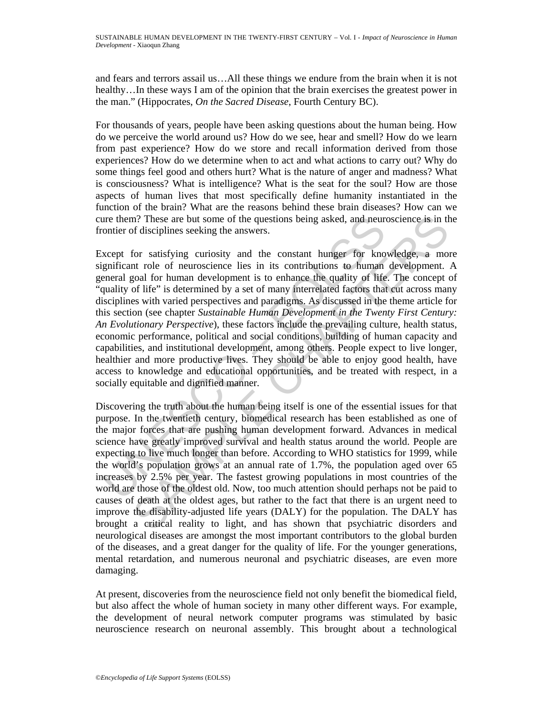and fears and terrors assail us…All these things we endure from the brain when it is not healthy…In these ways I am of the opinion that the brain exercises the greatest power in the man." (Hippocrates, *On the Sacred Disease*, Fourth Century BC).

For thousands of years, people have been asking questions about the human being. How do we perceive the world around us? How do we see, hear and smell? How do we learn from past experience? How do we store and recall information derived from those experiences? How do we determine when to act and what actions to carry out? Why do some things feel good and others hurt? What is the nature of anger and madness? What is consciousness? What is intelligence? What is the seat for the soul? How are those aspects of human lives that most specifically define humanity instantiated in the function of the brain? What are the reasons behind these brain diseases? How can we cure them? These are but some of the questions being asked, and neuroscience is in the frontier of disciplines seeking the answers.

ure them? These are but some of the questions being asked, and neurontier of disciplines seeking the answers.<br>
xcept for satisfying curiosity and the constant hunger for kno<br>
gnificant role of neuroscience lies in its cont m? These are but some of the questions being asked, and neuroscience is in th<br>of disciplines secking the answers.<br>
for satisfying curiosity and the constant hunger for knowledge, a more of electroscience lies in its contri Except for satisfying curiosity and the constant hunger for knowledge, a more significant role of neuroscience lies in its contributions to human development. A general goal for human development is to enhance the quality of life. The concept of "quality of life" is determined by a set of many interrelated factors that cut across many disciplines with varied perspectives and paradigms. As discussed in the theme article for this section (see chapter *Sustainable Human Development in the Twenty First Century: An Evolutionary Perspective*), these factors include the prevailing culture, health status, economic performance, political and social conditions, building of human capacity and capabilities, and institutional development, among others. People expect to live longer, healthier and more productive lives. They should be able to enjoy good health, have access to knowledge and educational opportunities, and be treated with respect, in a socially equitable and dignified manner.

Discovering the truth about the human being itself is one of the essential issues for that purpose. In the twentieth century, biomedical research has been established as one of the major forces that are pushing human development forward. Advances in medical science have greatly improved survival and health status around the world. People are expecting to live much longer than before. According to WHO statistics for 1999, while the world's population grows at an annual rate of 1.7%, the population aged over 65 increases by 2.5% per year. The fastest growing populations in most countries of the world are those of the oldest old. Now, too much attention should perhaps not be paid to causes of death at the oldest ages, but rather to the fact that there is an urgent need to improve the disability-adjusted life years (DALY) for the population. The DALY has brought a critical reality to light, and has shown that psychiatric disorders and neurological diseases are amongst the most important contributors to the global burden of the diseases, and a great danger for the quality of life. For the younger generations, mental retardation, and numerous neuronal and psychiatric diseases, are even more damaging.

At present, discoveries from the neuroscience field not only benefit the biomedical field, but also affect the whole of human society in many other different ways. For example, the development of neural network computer programs was stimulated by basic neuroscience research on neuronal assembly. This brought about a technological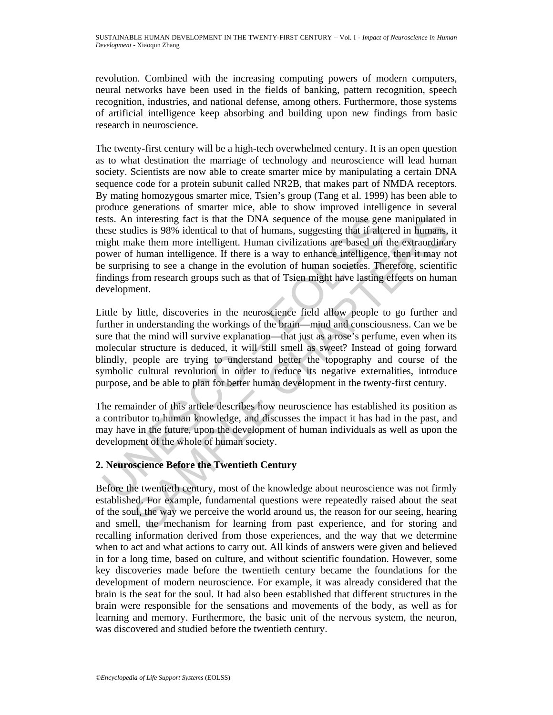revolution. Combined with the increasing computing powers of modern computers, neural networks have been used in the fields of banking, pattern recognition, speech recognition, industries, and national defense, among others. Furthermore, those systems of artificial intelligence keep absorbing and building upon new findings from basic research in neuroscience.

The twenty-first century will be a high-tech overwhelmed century. It is an open question as to what destination the marriage of technology and neuroscience will lead human society. Scientists are now able to create smarter mice by manipulating a certain DNA sequence code for a protein subunit called NR2B, that makes part of NMDA receptors. By mating homozygous smarter mice, Tsien's group (Tang et al. 1999) has been able to produce generations of smarter mice, able to show improved intelligence in several tests. An interesting fact is that the DNA sequence of the mouse gene manipulated in these studies is 98% identical to that of humans, suggesting that if altered in humans, it might make them more intelligent. Human civilizations are based on the extraordinary power of human intelligence. If there is a way to enhance intelligence, then it may not be surprising to see a change in the evolution of human societies. Therefore, scientific findings from research groups such as that of Tsien might have lasting effects on human development.

sts. An interesting fact is that the DNA sequence of the mouse gen<br>sese studies is 98% identical to that of humans, suggesting that if alte<br>uight make them more intelligent. Human civilizations are based on<br>over of human i interesting fact is that the DNA sequence of the mouse gene manipulated ides is 98% identical to that of humans, suggesting that if altered in humans, suggesting that if altered in human intelligence. If there is a way to Little by little, discoveries in the neuroscience field allow people to go further and further in understanding the workings of the brain—mind and consciousness. Can we be sure that the mind will survive explanation—that just as a rose's perfume, even when its molecular structure is deduced, it will still smell as sweet? Instead of going forward blindly, people are trying to understand better the topography and course of the symbolic cultural revolution in order to reduce its negative externalities, introduce purpose, and be able to plan for better human development in the twenty-first century.

The remainder of this article describes how neuroscience has established its position as a contributor to human knowledge, and discusses the impact it has had in the past, and may have in the future, upon the development of human individuals as well as upon the development of the whole of human society.

## **2. Neuroscience Before the Twentieth Century**

Before the twentieth century, most of the knowledge about neuroscience was not firmly established. For example, fundamental questions were repeatedly raised about the seat of the soul, the way we perceive the world around us, the reason for our seeing, hearing and smell, the mechanism for learning from past experience, and for storing and recalling information derived from those experiences, and the way that we determine when to act and what actions to carry out. All kinds of answers were given and believed in for a long time, based on culture, and without scientific foundation. However, some key discoveries made before the twentieth century became the foundations for the development of modern neuroscience. For example, it was already considered that the brain is the seat for the soul. It had also been established that different structures in the brain were responsible for the sensations and movements of the body, as well as for learning and memory. Furthermore, the basic unit of the nervous system, the neuron, was discovered and studied before the twentieth century.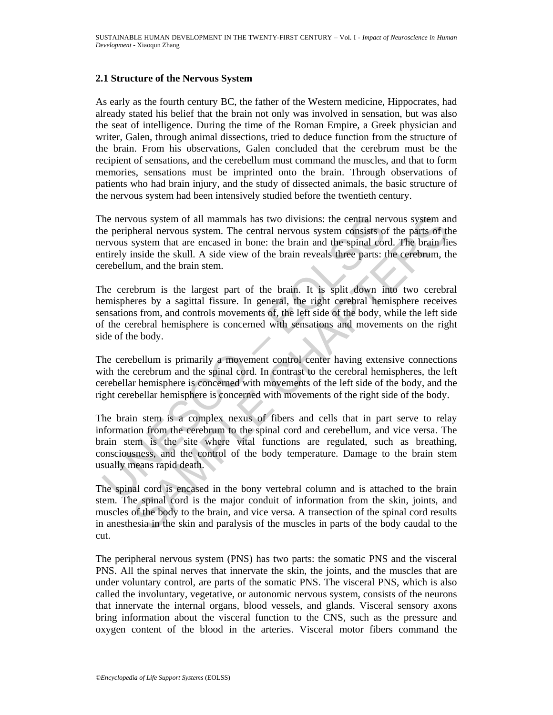## **2.1 Structure of the Nervous System**

As early as the fourth century BC, the father of the Western medicine, Hippocrates, had already stated his belief that the brain not only was involved in sensation, but was also the seat of intelligence. During the time of the Roman Empire, a Greek physician and writer, Galen, through animal dissections, tried to deduce function from the structure of the brain. From his observations, Galen concluded that the cerebrum must be the recipient of sensations, and the cerebellum must command the muscles, and that to form memories, sensations must be imprinted onto the brain. Through observations of patients who had brain injury, and the study of dissected animals, the basic structure of the nervous system had been intensively studied before the twentieth century.

The nervous system of all mammals has two divisions: the central nervous system and the peripheral nervous system. The central nervous system consists of the parts of the nervous system that are encased in bone: the brain and the spinal cord. The brain lies entirely inside the skull. A side view of the brain reveals three parts: the cerebrum, the cerebellum, and the brain stem.

The cerebrum is the largest part of the brain. It is split down into two cerebral hemispheres by a sagittal fissure. In general, the right cerebral hemisphere receives sensations from, and controls movements of, the left side of the body, while the left side of the cerebral hemisphere is concerned with sensations and movements on the right side of the body.

The cerebellum is primarily a movement control center having extensive connections with the cerebrum and the spinal cord. In contrast to the cerebral hemispheres, the left cerebellar hemisphere is concerned with movements of the left side of the body, and the right cerebellar hemisphere is concerned with movements of the right side of the body.

the nervous system of all mammals has two divisions: the central nervous system that are peripheral nervous system. The central nervous system consists of the principle prefixed in bone: the brain and the spinal correlatio ous system of all mammals has two divisions: the central nervous system an the system and rervous system. The central nervous system consists of the parts of the parts of the parts of the parts of the parts of the parts of The brain stem is a complex nexus of fibers and cells that in part serve to relay information from the cerebrum to the spinal cord and cerebellum, and vice versa. The brain stem is the site where vital functions are regulated, such as breathing, consciousness, and the control of the body temperature. Damage to the brain stem usually means rapid death.

The spinal cord is encased in the bony vertebral column and is attached to the brain stem. The spinal cord is the major conduit of information from the skin, joints, and muscles of the body to the brain, and vice versa. A transection of the spinal cord results in anesthesia in the skin and paralysis of the muscles in parts of the body caudal to the cut.

The peripheral nervous system (PNS) has two parts: the somatic PNS and the visceral PNS. All the spinal nerves that innervate the skin, the joints, and the muscles that are under voluntary control, are parts of the somatic PNS. The visceral PNS, which is also called the involuntary, vegetative, or autonomic nervous system, consists of the neurons that innervate the internal organs, blood vessels, and glands. Visceral sensory axons bring information about the visceral function to the CNS, such as the pressure and oxygen content of the blood in the arteries. Visceral motor fibers command the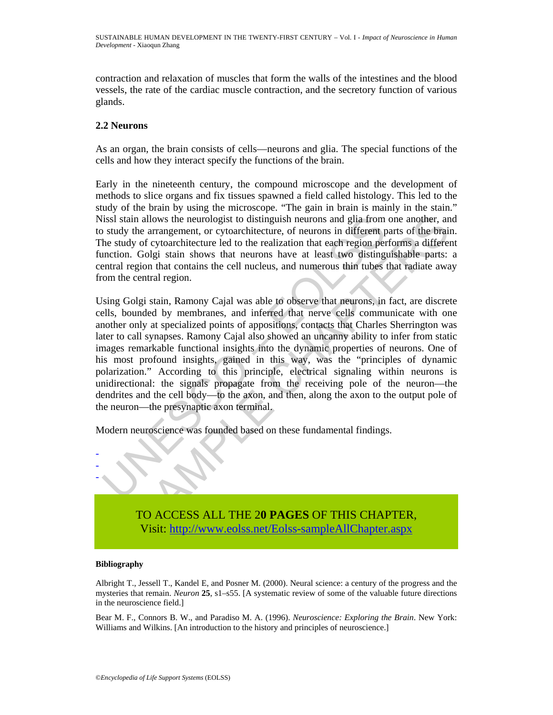contraction and relaxation of muscles that form the walls of the intestines and the blood vessels, the rate of the cardiac muscle contraction, and the secretory function of various glands.

## **2.2 Neurons**

As an organ, the brain consists of cells—neurons and glia. The special functions of the cells and how they interact specify the functions of the brain.

Early in the nineteenth century, the compound microscope and the development of methods to slice organs and fix tissues spawned a field called histology. This led to the study of the brain by using the microscope. "The gain in brain is mainly in the stain." Nissl stain allows the neurologist to distinguish neurons and glia from one another, and to study the arrangement, or cytoarchitecture, of neurons in different parts of the brain. The study of cytoarchitecture led to the realization that each region performs a different function. Golgi stain shows that neurons have at least two distinguishable parts: a central region that contains the cell nucleus, and numerous thin tubes that radiate away from the central region.

issl stain allows the neurologist to distinguish neurons and glia from<br>study the arrangement, or cytoarchitecture, of neurons in different p<br>the study of cytoarchitecture led to the realization that each region per<br>increas in allows the neurologist to distinguish neurons and glia from one another, and<br>the arrangement, or cytoarchitecture lof neurons in different parts of the brain<br>y of cytoarchitecture led to the realization that each regio Using Golgi stain, Ramony Cajal was able to observe that neurons, in fact, are discrete cells, bounded by membranes, and inferred that nerve cells communicate with one another only at specialized points of appositions, contacts that Charles Sherrington was later to call synapses. Ramony Cajal also showed an uncanny ability to infer from static images remarkable functional insights into the dynamic properties of neurons. One of his most profound insights, gained in this way, was the "principles of dynamic polarization." According to this principle, electrical signaling within neurons is unidirectional: the signals propagate from the receiving pole of the neuron—the dendrites and the cell body—to the axon, and then, along the axon to the output pole of the neuron—the presynaptic axon terminal.

Modern neuroscience was founded based on these fundamental findings.



TO ACCESS ALL THE 2**0 PAGES** OF THIS CHAPTER, Visit: http://www.eolss.net/Eolss-sampleAllChapter.aspx

### **Bibliography**

Albright T., Jessell T., Kandel E, and Posner M. (2000). Neural science: a century of the progress and the mysteries that remain. *Neuron* **25**, s1–s55. [A systematic review of some of the valuable future directions in the neuroscience field.]

Bear M. F., Connors B. W., and Paradiso M. A. (1996). *Neuroscience: Exploring the Brain*. New York: Williams and Wilkins. [An introduction to the history and principles of neuroscience.]